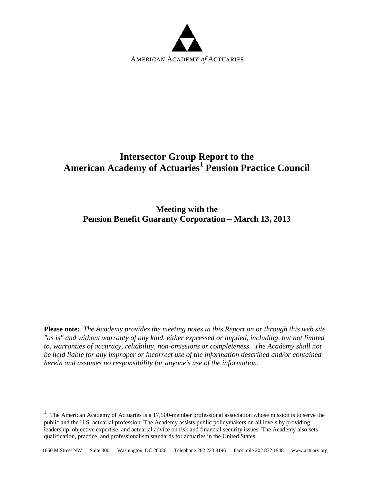

## **Intersector Group Report to the American Academy of Actuaries[1](#page-0-0) Pension Practice Council**

**Meeting with the Pension Benefit Guaranty Corporation – March 13, 2013**

**Please note:** *The Academy provides the meeting notes in this Report on or through this web site "as is" and without warranty of any kind, either expressed or implied, including, but not limited to, warranties of accuracy, reliability, non-omissions or completeness. The Academy shall not be held liable for any improper or incorrect use of the information described and/or contained herein and assumes no responsibility for anyone's use of the information.* 

 $\overline{a}$ 

<span id="page-0-0"></span><sup>&</sup>lt;sup>1</sup> The American Academy of Actuaries is a 17,500-member professional association whose mission is to serve the public and the U.S. actuarial profession. The Academy assists public policymakers on all levels by providing leadership, objective expertise, and actuarial advice on risk and financial security issues. The Academy also sets qualification, practice, and professionalism standards for actuaries in the United States.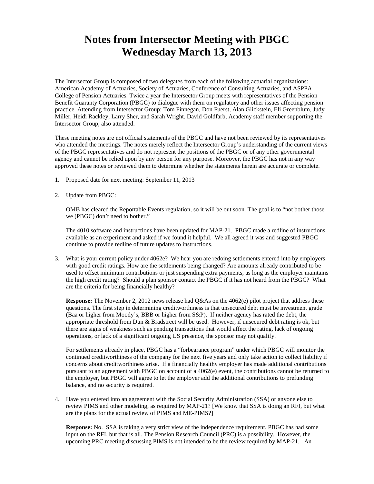## **Notes from Intersector Meeting with PBGC Wednesday March 13, 2013**

The Intersector Group is composed of two delegates from each of the following actuarial organizations: American Academy of Actuaries, Society of Actuaries, Conference of Consulting Actuaries, and ASPPA College of Pension Actuaries. Twice a year the Intersector Group meets with representatives of the Pension Benefit Guaranty Corporation (PBGC) to dialogue with them on regulatory and other issues affecting pension practice. Attending from Intersector Group: Tom Finnegan, Don Fuerst, Alan Glickstein, Eli Greenblum, Judy Miller, Heidi Rackley, Larry Sher, and Sarah Wright. David Goldfarb, Academy staff member supporting the Intersector Group, also attended.

These meeting notes are not official statements of the PBGC and have not been reviewed by its representatives who attended the meetings. The notes merely reflect the Intersector Group's understanding of the current views of the PBGC representatives and do not represent the positions of the PBGC or of any other governmental agency and cannot be relied upon by any person for any purpose. Moreover, the PBGC has not in any way approved these notes or reviewed them to determine whether the statements herein are accurate or complete.

- 1. Proposed date for next meeting: September 11, 2013
- 2. Update from PBGC:

OMB has cleared the Reportable Events regulation, so it will be out soon. The goal is to "not bother those we (PBGC) don't need to bother."

The 4010 software and instructions have been updated for MAP-21. PBGC made a redline of instructions available as an experiment and asked if we found it helpful. We all agreed it was and suggested PBGC continue to provide redline of future updates to instructions.

3. What is your current policy under 4062e? We hear you are redoing settlements entered into by employers with good credit ratings. How are the settlements being changed? Are amounts already contributed to be used to offset minimum contributions or just suspending extra payments, as long as the employer maintains the high credit rating? Should a plan sponsor contact the PBGC if it has not heard from the PBGC? What are the criteria for being financially healthy?

**Response:** The November 2, 2012 news release had Q&As on the 4062(e) pilot project that address these questions. The first step in determining creditworthiness is that unsecured debt must be investment grade (Baa or higher from Moody's, BBB or higher from S&P). If neither agency has rated the debt, the appropriate threshold from Dun & Bradstreet will be used. However, if unsecured debt rating is ok, but there are signs of weakness such as pending transactions that would affect the rating, lack of ongoing operations, or lack of a significant ongoing US presence, the sponsor may not qualify.

For settlements already in place, PBGC has a "forbearance program" under which PBGC will monitor the continued creditworthiness of the company for the next five years and only take action to collect liability if concerns about creditworthiness arise. If a financially healthy employer has made additional contributions pursuant to an agreement with PBGC on account of a 4062(e) event, the contributions cannot be returned to the employer, but PBGC will agree to let the employer add the additional contributions to prefunding balance, and no security is required.

4. Have you entered into an agreement with the Social Security Administration (SSA) or anyone else to review PIMS and other modeling, as required by MAP-21? [We know that SSA is doing an RFI, but what are the plans for the actual review of PIMS and ME-PIMS?]

**Response:** No. SSA is taking a very strict view of the independence requirement. PBGC has had some input on the RFI, but that is all. The Pension Research Council (PRC) is a possibility. However, the upcoming PRC meeting discussing PIMS is not intended to be the review required by MAP-21. An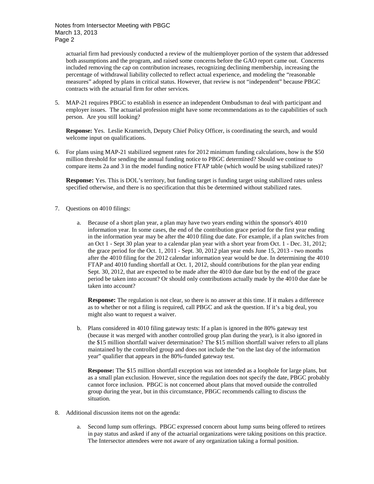Notes from Intersector Meeting with PBGC March 13, 2013 Page 2

actuarial firm had previously conducted a review of the multiemployer portion of the system that addressed both assumptions and the program, and raised some concerns before the GAO report came out. Concerns included removing the cap on contribution increases, recognizing declining membership, increasing the percentage of withdrawal liability collected to reflect actual experience, and modeling the "reasonable measures" adopted by plans in critical status. However, that review is not "independent" because PBGC contracts with the actuarial firm for other services.

5. MAP-21 requires PBGC to establish in essence an independent Ombudsman to deal with participant and employer issues. The actuarial profession might have some recommendations as to the capabilities of such person. Are you still looking?

**Response:** Yes. Leslie Kramerich, Deputy Chief Policy Officer, is coordinating the search, and would welcome input on qualifications.

6. For plans using MAP-21 stabilized segment rates for 2012 minimum funding calculations, how is the \$50 million threshold for sending the annual funding notice to PBGC determined? Should we continue to compare items 2a and 3 in the model funding notice FTAP table (which would be using stabilized rates)?

**Response:** Yes. This is DOL's territory, but funding target is funding target using stabilized rates unless specified otherwise, and there is no specification that this be determined without stabilized rates.

- 7. Questions on 4010 filings:
	- a. Because of a short plan year, a plan may have two years ending within the sponsor's 4010 information year. In some cases, the end of the contribution grace period for the first year ending in the information year may be after the 4010 filing due date. For example, if a plan switches from an Oct 1 - Sept 30 plan year to a calendar plan year with a short year from Oct. 1 - Dec. 31, 2012; the grace period for the Oct. 1, 2011 - Sept. 30, 2012 plan year ends June 15, 2013 - two months after the 4010 filing for the 2012 calendar information year would be due. In determining the 4010 FTAP and 4010 funding shortfall at Oct. 1, 2012, should contributions for the plan year ending Sept. 30, 2012, that are expected to be made after the 4010 due date but by the end of the grace period be taken into account? Or should only contributions actually made by the 4010 due date be taken into account?

**Response:** The regulation is not clear, so there is no answer at this time. If it makes a difference as to whether or not a filing is required, call PBGC and ask the question. If it's a big deal, you might also want to request a waiver.

b. Plans considered in 4010 filing gateway tests: If a plan is ignored in the 80% gateway test (because it was merged with another controlled group plan during the year), is it also ignored in the \$15 million shortfall waiver determination? The \$15 million shortfall waiver refers to all plans maintained by the controlled group and does not include the "on the last day of the information year" qualifier that appears in the 80%-funded gateway test.

**Response:** The \$15 million shortfall exception was not intended as a loophole for large plans, but as a small plan exclusion. However, since the regulation does not specify the date, PBGC probably cannot force inclusion. PBGC is not concerned about plans that moved outside the controlled group during the year, but in this circumstance, PBGC recommends calling to discuss the situation.

- 8. Additional discussion items not on the agenda:
	- a. Second lump sum offerings. PBGC expressed concern about lump sums being offered to retirees in pay status and asked if any of the actuarial organizations were taking positions on this practice. The Intersector attendees were not aware of any organization taking a formal position.